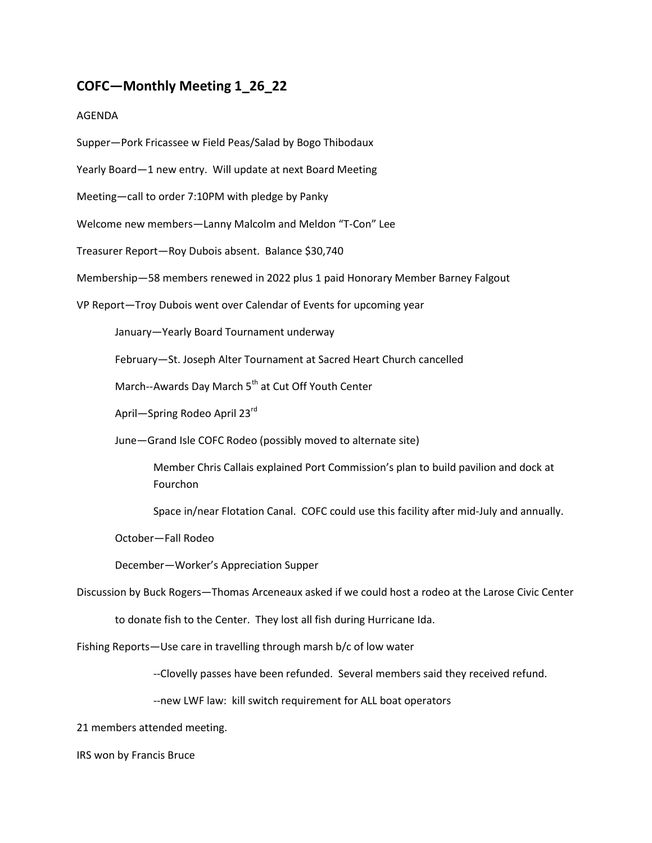## **COFC—Monthly Meeting 1\_26\_22**

## AGENDA

Supper—Pork Fricassee w Field Peas/Salad by Bogo Thibodaux

Yearly Board—1 new entry. Will update at next Board Meeting

Meeting—call to order 7:10PM with pledge by Panky

Welcome new members—Lanny Malcolm and Meldon "T-Con" Lee

Treasurer Report—Roy Dubois absent. Balance \$30,740

Membership—58 members renewed in 2022 plus 1 paid Honorary Member Barney Falgout

VP Report—Troy Dubois went over Calendar of Events for upcoming year

January—Yearly Board Tournament underway

February—St. Joseph Alter Tournament at Sacred Heart Church cancelled

March--Awards Day March 5<sup>th</sup> at Cut Off Youth Center

April—Spring Rodeo April 23rd

June—Grand Isle COFC Rodeo (possibly moved to alternate site)

Member Chris Callais explained Port Commission's plan to build pavilion and dock at Fourchon

Space in/near Flotation Canal. COFC could use this facility after mid-July and annually.

October—Fall Rodeo

December—Worker's Appreciation Supper

Discussion by Buck Rogers—Thomas Arceneaux asked if we could host a rodeo at the Larose Civic Center

to donate fish to the Center. They lost all fish during Hurricane Ida.

Fishing Reports—Use care in travelling through marsh b/c of low water

--Clovelly passes have been refunded. Several members said they received refund.

--new LWF law: kill switch requirement for ALL boat operators

21 members attended meeting.

IRS won by Francis Bruce